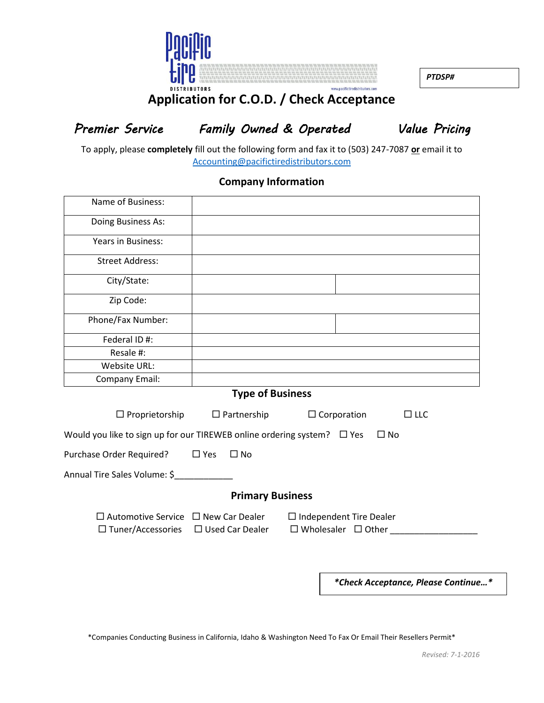

*PTDSP#*

## **Application for C.O.D. / Check Acceptance**

*Premier Service Family Owned & Operated Value Pricing* 

To apply, please **completely** fill out the following form and fax it to (503) 247-7087 **or** email it to [Accounting@pacifictiredistributors.com](mailto:Accounting@pacifictiredistributors.com)

## **Company Information**

| Name of Business:                                                                                  |                         |                                                                  |  |  |  |  |
|----------------------------------------------------------------------------------------------------|-------------------------|------------------------------------------------------------------|--|--|--|--|
| Doing Business As:                                                                                 |                         |                                                                  |  |  |  |  |
| <b>Years in Business:</b>                                                                          |                         |                                                                  |  |  |  |  |
| <b>Street Address:</b>                                                                             |                         |                                                                  |  |  |  |  |
| City/State:                                                                                        |                         |                                                                  |  |  |  |  |
| Zip Code:                                                                                          |                         |                                                                  |  |  |  |  |
| Phone/Fax Number:                                                                                  |                         |                                                                  |  |  |  |  |
| Federal ID #:                                                                                      |                         |                                                                  |  |  |  |  |
| Resale #:                                                                                          |                         |                                                                  |  |  |  |  |
| Website URL:                                                                                       |                         |                                                                  |  |  |  |  |
| Company Email:                                                                                     |                         |                                                                  |  |  |  |  |
| <b>Type of Business</b>                                                                            |                         |                                                                  |  |  |  |  |
| $\Box$ Proprietorship                                                                              | $\Box$ Partnership      | $\Box$ Corporation<br>$\Box$ LLC                                 |  |  |  |  |
| Would you like to sign up for our TIREWEB online ordering system? $\Box$ Yes<br>$\Box$ No          |                         |                                                                  |  |  |  |  |
| Purchase Order Required?                                                                           | $\Box$ Yes<br>$\Box$ No |                                                                  |  |  |  |  |
| Annual Tire Sales Volume: \$                                                                       |                         |                                                                  |  |  |  |  |
| <b>Primary Business</b>                                                                            |                         |                                                                  |  |  |  |  |
| $\Box$ Automotive Service $\Box$ New Car Dealer<br>$\Box$ Tuner/Accessories $\Box$ Used Car Dealer |                         | $\Box$ Independent Tire Dealer<br>$\Box$ Wholesaler $\Box$ Other |  |  |  |  |

*\*Check Acceptance, Please Continue…\**

\*Companies Conducting Business in California, Idaho & Washington Need To Fax Or Email Their Resellers Permit\*